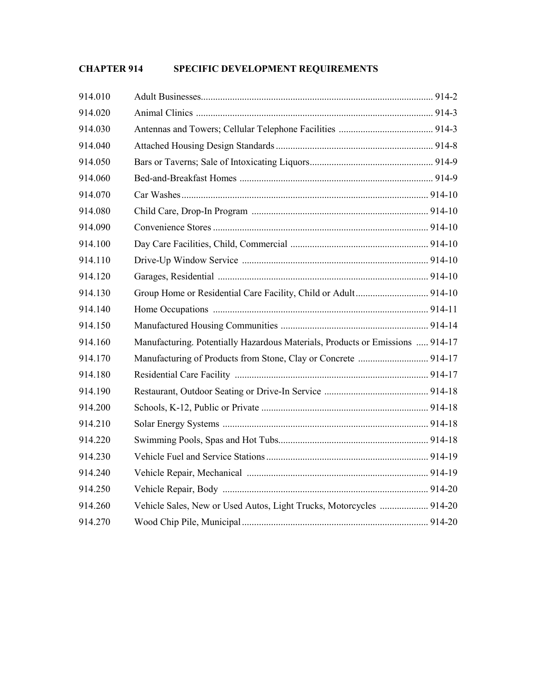# **CHAPTER 914 SPECIFIC DEVELOPMENT REQUIREMENTS**

| 914.010 |                                                                               |  |
|---------|-------------------------------------------------------------------------------|--|
| 914.020 |                                                                               |  |
| 914.030 |                                                                               |  |
| 914.040 |                                                                               |  |
| 914.050 |                                                                               |  |
| 914.060 |                                                                               |  |
| 914.070 |                                                                               |  |
| 914.080 |                                                                               |  |
| 914.090 |                                                                               |  |
| 914.100 |                                                                               |  |
| 914.110 |                                                                               |  |
| 914.120 |                                                                               |  |
| 914.130 | Group Home or Residential Care Facility, Child or Adult 914-10                |  |
| 914.140 |                                                                               |  |
| 914.150 |                                                                               |  |
| 914.160 | Manufacturing. Potentially Hazardous Materials, Products or Emissions  914-17 |  |
| 914.170 |                                                                               |  |
| 914.180 |                                                                               |  |
| 914.190 |                                                                               |  |
| 914.200 |                                                                               |  |
| 914.210 |                                                                               |  |
| 914.220 |                                                                               |  |
| 914.230 |                                                                               |  |
| 914.240 |                                                                               |  |
| 914.250 |                                                                               |  |
| 914.260 | Vehicle Sales, New or Used Autos, Light Trucks, Motorcycles  914-20           |  |
| 914.270 |                                                                               |  |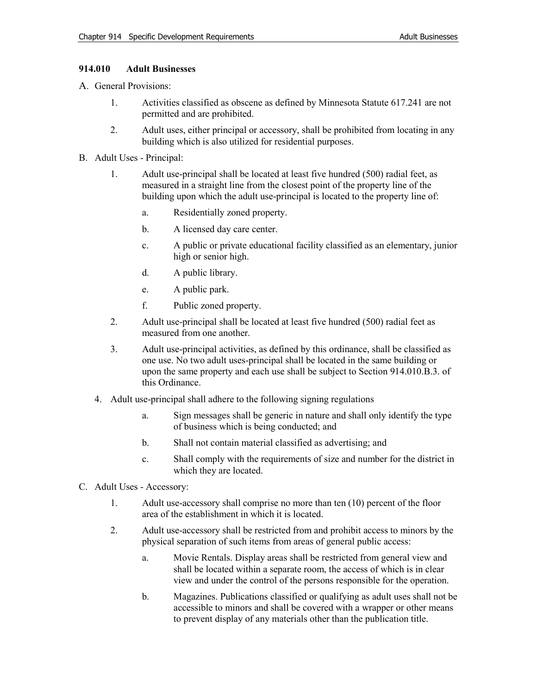# **914.010 Adult Businesses**

- A. General Provisions:
	- 1. Activities classified as obscene as defined by Minnesota Statute 617.241 are not permitted and are prohibited.
	- 2. Adult uses, either principal or accessory, shall be prohibited from locating in any building which is also utilized for residential purposes.
- B. Adult Uses Principal:
	- 1. Adult use-principal shall be located at least five hundred (500) radial feet, as measured in a straight line from the closest point of the property line of the building upon which the adult use-principal is located to the property line of:
		- a. Residentially zoned property.
		- b. A licensed day care center.
		- c. A public or private educational facility classified as an elementary, junior high or senior high.
		- d. A public library.
		- e. A public park.
		- f. Public zoned property.
	- 2. Adult use-principal shall be located at least five hundred (500) radial feet as measured from one another.
	- 3. Adult use-principal activities, as defined by this ordinance, shall be classified as one use. No two adult uses-principal shall be located in the same building or upon the same property and each use shall be subject to Section 914.010.B.3. of this Ordinance.
	- 4. Adult use-principal shall adhere to the following signing regulations
		- a. Sign messages shall be generic in nature and shall only identify the type of business which is being conducted; and
		- b. Shall not contain material classified as advertising; and
		- c. Shall comply with the requirements of size and number for the district in which they are located.
- C. Adult Uses Accessory:
	- 1. Adult use-accessory shall comprise no more than ten (10) percent of the floor area of the establishment in which it is located.
	- 2. Adult use-accessory shall be restricted from and prohibit access to minors by the physical separation of such items from areas of general public access:
		- a. Movie Rentals. Display areas shall be restricted from general view and shall be located within a separate room, the access of which is in clear view and under the control of the persons responsible for the operation.
		- b. Magazines. Publications classified or qualifying as adult uses shall not be accessible to minors and shall be covered with a wrapper or other means to prevent display of any materials other than the publication title.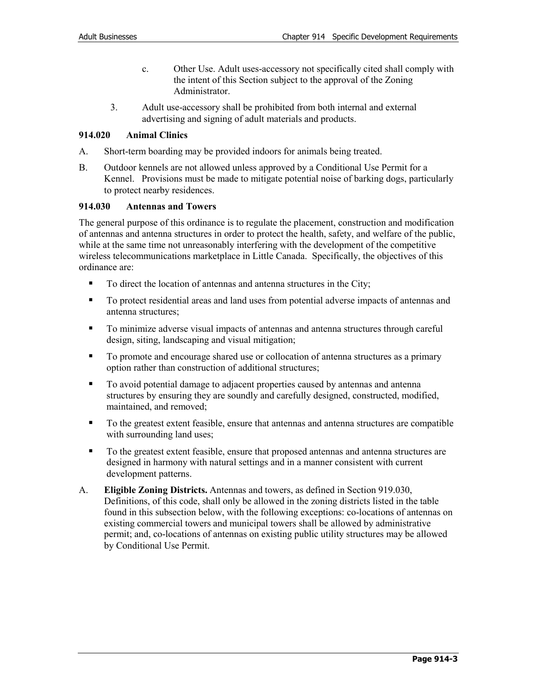- c. Other Use. Adult uses-accessory not specifically cited shall comply with the intent of this Section subject to the approval of the Zoning Administrator.
- 3. Adult use-accessory shall be prohibited from both internal and external advertising and signing of adult materials and products.

# **914.020 Animal Clinics**

- A. Short-term boarding may be provided indoors for animals being treated.
- B. Outdoor kennels are not allowed unless approved by a Conditional Use Permit for a Kennel. Provisions must be made to mitigate potential noise of barking dogs, particularly to protect nearby residences.

# **914.030 Antennas and Towers**

The general purpose of this ordinance is to regulate the placement, construction and modification of antennas and antenna structures in order to protect the health, safety, and welfare of the public, while at the same time not unreasonably interfering with the development of the competitive wireless telecommunications marketplace in Little Canada. Specifically, the objectives of this ordinance are:

- To direct the location of antennas and antenna structures in the City;
- To protect residential areas and land uses from potential adverse impacts of antennas and antenna structures;
- To minimize adverse visual impacts of antennas and antenna structures through careful design, siting, landscaping and visual mitigation;
- To promote and encourage shared use or collocation of antenna structures as a primary option rather than construction of additional structures;
- To avoid potential damage to adjacent properties caused by antennas and antenna structures by ensuring they are soundly and carefully designed, constructed, modified, maintained, and removed;
- To the greatest extent feasible, ensure that antennas and antenna structures are compatible with surrounding land uses;
- To the greatest extent feasible, ensure that proposed antennas and antenna structures are designed in harmony with natural settings and in a manner consistent with current development patterns.
- A. **Eligible Zoning Districts.** Antennas and towers, as defined in Section 919.030, Definitions, of this code, shall only be allowed in the zoning districts listed in the table found in this subsection below, with the following exceptions: co-locations of antennas on existing commercial towers and municipal towers shall be allowed by administrative permit; and, co-locations of antennas on existing public utility structures may be allowed by Conditional Use Permit.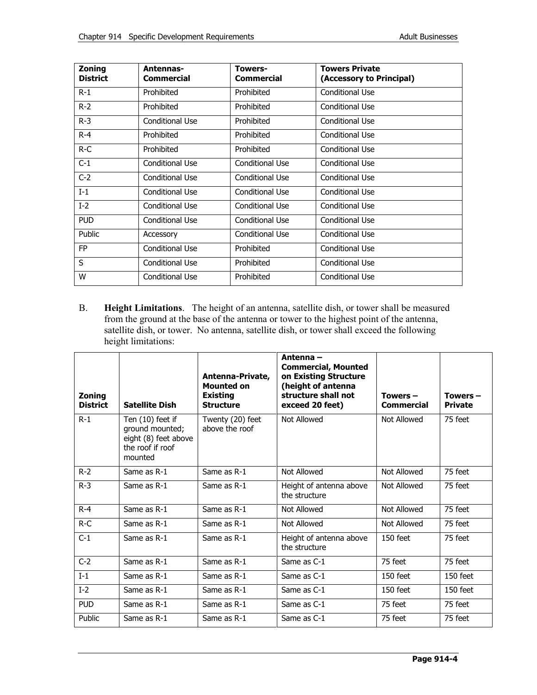| Zoning<br><b>District</b> | Antennas-<br>Commercial | <b>Towers-</b><br><b>Commercial</b> | <b>Towers Private</b><br>(Accessory to Principal) |
|---------------------------|-------------------------|-------------------------------------|---------------------------------------------------|
| $R-1$                     | Prohibited              | Prohibited                          | Conditional Use                                   |
| $R-2$                     | Prohibited              | Prohibited                          | Conditional Use                                   |
| $R-3$                     | Conditional Use         | Prohibited                          | Conditional Use                                   |
| $R - 4$                   | Prohibited              | Prohibited                          | Conditional Use                                   |
| $R-C$                     | Prohibited              | Prohibited                          | Conditional Use                                   |
| $C-1$                     | Conditional Use         | Conditional Use                     | Conditional Use                                   |
| $C-2$                     | Conditional Use         | Conditional Use                     | Conditional Use                                   |
| $I-1$                     | Conditional Use         | Conditional Use                     | Conditional Use                                   |
| $I-2$                     | Conditional Use         | Conditional Use                     | Conditional Use                                   |
| <b>PUD</b>                | Conditional Use         | Conditional Use                     | Conditional Use                                   |
| Public                    | Accessory               | Conditional Use                     | Conditional Use                                   |
| <b>FP</b>                 | Conditional Use         | Prohibited                          | Conditional Use                                   |
| S                         | Conditional Use         | Prohibited                          | Conditional Use                                   |
| W                         | Conditional Use         | Prohibited                          | Conditional Use                                   |

B. **Height Limitations**. The height of an antenna, satellite dish, or tower shall be measured from the ground at the base of the antenna or tower to the highest point of the antenna, satellite dish, or tower. No antenna, satellite dish, or tower shall exceed the following height limitations:

| <b>Zoning</b><br><b>District</b> | <b>Satellite Dish</b>                                                                      | Antenna-Private,<br><b>Mounted on</b><br><b>Existing</b><br><b>Structure</b> | Antenna –<br><b>Commercial, Mounted</b><br>on Existing Structure<br>(height of antenna<br>structure shall not<br>exceed 20 feet) | Towers $-$<br><b>Commercial</b> | Towers $-$<br><b>Private</b> |
|----------------------------------|--------------------------------------------------------------------------------------------|------------------------------------------------------------------------------|----------------------------------------------------------------------------------------------------------------------------------|---------------------------------|------------------------------|
| $R-1$                            | Ten (10) feet if<br>ground mounted;<br>eight (8) feet above<br>the roof if roof<br>mounted | Twenty (20) feet<br>above the roof                                           | Not Allowed                                                                                                                      | Not Allowed                     | 75 feet                      |
| $R-2$                            | Same as R-1                                                                                | Same as R-1                                                                  | Not Allowed                                                                                                                      | Not Allowed                     | 75 feet                      |
| $R-3$                            | Same as R-1                                                                                | Same as R-1                                                                  | Height of antenna above<br>the structure                                                                                         | Not Allowed                     | 75 feet                      |
| $R - 4$                          | Same as R-1                                                                                | Same as R-1                                                                  | Not Allowed                                                                                                                      | Not Allowed                     | 75 feet                      |
| $R-C$                            | Same as R-1                                                                                | Same as R-1                                                                  | Not Allowed                                                                                                                      | Not Allowed                     | 75 feet                      |
| $C-1$                            | Same as R-1                                                                                | Same as R-1                                                                  | Height of antenna above<br>the structure                                                                                         | $150$ feet                      | 75 feet                      |
| $C-2$                            | Same as R-1                                                                                | Same as R-1                                                                  | Same as C-1                                                                                                                      | 75 feet                         | 75 feet                      |
| $I-1$                            | Same as R-1                                                                                | Same as R-1                                                                  | Same as C-1                                                                                                                      | $150$ feet                      | 150 feet                     |
| $I-2$                            | Same as R-1                                                                                | Same as R-1                                                                  | Same as C-1                                                                                                                      | $150$ feet                      | 150 feet                     |
| <b>PUD</b>                       | Same as R-1                                                                                | Same as R-1                                                                  | Same as C-1                                                                                                                      | 75 feet                         | 75 feet                      |
| Public                           | Same as R-1                                                                                | Same as R-1                                                                  | Same as C-1                                                                                                                      | 75 feet                         | 75 feet                      |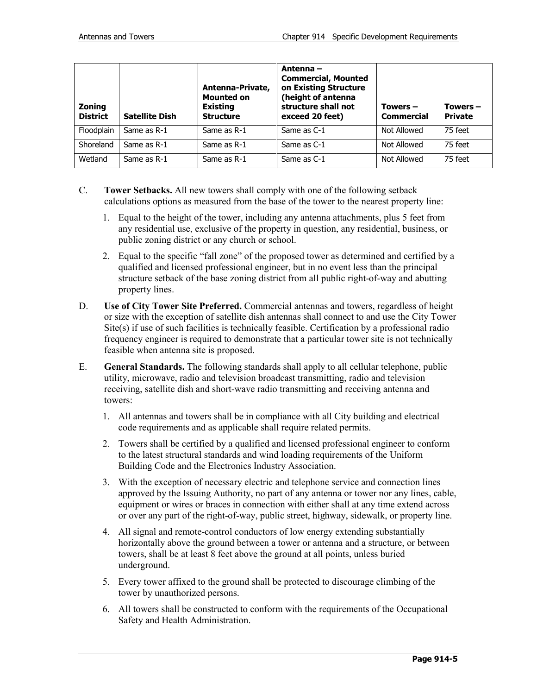| <b>Zoning</b><br><b>District</b> | <b>Satellite Dish</b> | Antenna-Private,<br><b>Mounted on</b><br><b>Existing</b><br><b>Structure</b> | Antenna –<br><b>Commercial, Mounted</b><br>on Existing Structure<br>(height of antenna<br>structure shall not<br>exceed 20 feet) | Towers $-$<br><b>Commercial</b> | Towers $-$<br><b>Private</b> |
|----------------------------------|-----------------------|------------------------------------------------------------------------------|----------------------------------------------------------------------------------------------------------------------------------|---------------------------------|------------------------------|
| Floodplain                       | Same as R-1           | Same as R-1                                                                  | Same as C-1                                                                                                                      | Not Allowed                     | 75 feet                      |
| Shoreland                        | Same as R-1           | Same as R-1                                                                  | Same as C-1                                                                                                                      | Not Allowed                     | 75 feet                      |
| Wetland                          | Same as R-1           | Same as R-1                                                                  | Same as C-1                                                                                                                      | Not Allowed                     | 75 feet                      |

- C. **Tower Setbacks.** All new towers shall comply with one of the following setback calculations options as measured from the base of the tower to the nearest property line:
	- 1. Equal to the height of the tower, including any antenna attachments, plus 5 feet from any residential use, exclusive of the property in question, any residential, business, or public zoning district or any church or school.
	- 2. Equal to the specific "fall zone" of the proposed tower as determined and certified by a qualified and licensed professional engineer, but in no event less than the principal structure setback of the base zoning district from all public right-of-way and abutting property lines.
- D. **Use of City Tower Site Preferred.** Commercial antennas and towers, regardless of height or size with the exception of satellite dish antennas shall connect to and use the City Tower Site(s) if use of such facilities is technically feasible. Certification by a professional radio frequency engineer is required to demonstrate that a particular tower site is not technically feasible when antenna site is proposed.
- E. **General Standards.** The following standards shall apply to all cellular telephone, public utility, microwave, radio and television broadcast transmitting, radio and television receiving, satellite dish and short-wave radio transmitting and receiving antenna and towers:
	- 1. All antennas and towers shall be in compliance with all City building and electrical code requirements and as applicable shall require related permits.
	- 2. Towers shall be certified by a qualified and licensed professional engineer to conform to the latest structural standards and wind loading requirements of the Uniform Building Code and the Electronics Industry Association.
	- 3. With the exception of necessary electric and telephone service and connection lines approved by the Issuing Authority, no part of any antenna or tower nor any lines, cable, equipment or wires or braces in connection with either shall at any time extend across or over any part of the right-of-way, public street, highway, sidewalk, or property line.
	- 4. All signal and remote-control conductors of low energy extending substantially horizontally above the ground between a tower or antenna and a structure, or between towers, shall be at least 8 feet above the ground at all points, unless buried underground.
	- 5. Every tower affixed to the ground shall be protected to discourage climbing of the tower by unauthorized persons.
	- 6. All towers shall be constructed to conform with the requirements of the Occupational Safety and Health Administration.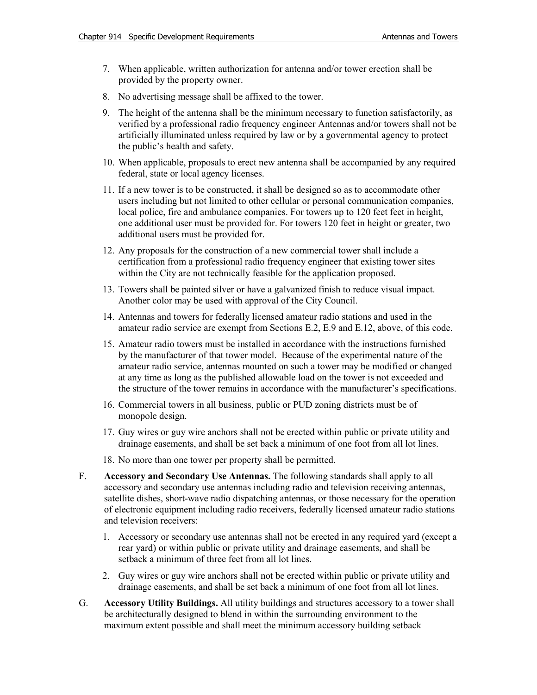- 7. When applicable, written authorization for antenna and/or tower erection shall be provided by the property owner.
- 8. No advertising message shall be affixed to the tower.
- 9. The height of the antenna shall be the minimum necessary to function satisfactorily, as verified by a professional radio frequency engineer Antennas and/or towers shall not be artificially illuminated unless required by law or by a governmental agency to protect the public's health and safety.
- 10. When applicable, proposals to erect new antenna shall be accompanied by any required federal, state or local agency licenses.
- 11. If a new tower is to be constructed, it shall be designed so as to accommodate other users including but not limited to other cellular or personal communication companies, local police, fire and ambulance companies. For towers up to 120 feet feet in height, one additional user must be provided for. For towers 120 feet in height or greater, two additional users must be provided for.
- 12. Any proposals for the construction of a new commercial tower shall include a certification from a professional radio frequency engineer that existing tower sites within the City are not technically feasible for the application proposed.
- 13. Towers shall be painted silver or have a galvanized finish to reduce visual impact. Another color may be used with approval of the City Council.
- 14. Antennas and towers for federally licensed amateur radio stations and used in the amateur radio service are exempt from Sections E.2, E.9 and E.12, above, of this code.
- 15. Amateur radio towers must be installed in accordance with the instructions furnished by the manufacturer of that tower model. Because of the experimental nature of the amateur radio service, antennas mounted on such a tower may be modified or changed at any time as long as the published allowable load on the tower is not exceeded and the structure of the tower remains in accordance with the manufacturer's specifications.
- 16. Commercial towers in all business, public or PUD zoning districts must be of monopole design.
- 17. Guy wires or guy wire anchors shall not be erected within public or private utility and drainage easements, and shall be set back a minimum of one foot from all lot lines.
- 18. No more than one tower per property shall be permitted.
- F. **Accessory and Secondary Use Antennas.** The following standards shall apply to all accessory and secondary use antennas including radio and television receiving antennas, satellite dishes, short-wave radio dispatching antennas, or those necessary for the operation of electronic equipment including radio receivers, federally licensed amateur radio stations and television receivers:
	- 1. Accessory or secondary use antennas shall not be erected in any required yard (except a rear yard) or within public or private utility and drainage easements, and shall be setback a minimum of three feet from all lot lines.
	- 2. Guy wires or guy wire anchors shall not be erected within public or private utility and drainage easements, and shall be set back a minimum of one foot from all lot lines.
- G. **Accessory Utility Buildings.** All utility buildings and structures accessory to a tower shall be architecturally designed to blend in within the surrounding environment to the maximum extent possible and shall meet the minimum accessory building setback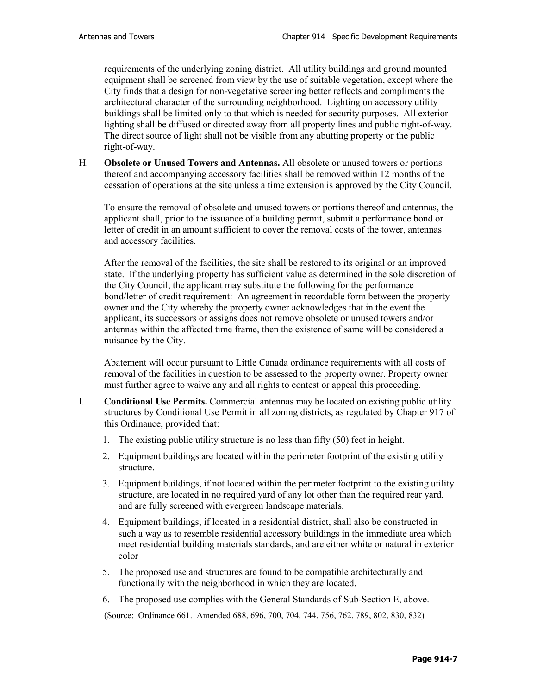requirements of the underlying zoning district. All utility buildings and ground mounted equipment shall be screened from view by the use of suitable vegetation, except where the City finds that a design for non-vegetative screening better reflects and compliments the architectural character of the surrounding neighborhood. Lighting on accessory utility buildings shall be limited only to that which is needed for security purposes. All exterior lighting shall be diffused or directed away from all property lines and public right-of-way. The direct source of light shall not be visible from any abutting property or the public right-of-way.

H. **Obsolete or Unused Towers and Antennas.** All obsolete or unused towers or portions thereof and accompanying accessory facilities shall be removed within 12 months of the cessation of operations at the site unless a time extension is approved by the City Council.

To ensure the removal of obsolete and unused towers or portions thereof and antennas, the applicant shall, prior to the issuance of a building permit, submit a performance bond or letter of credit in an amount sufficient to cover the removal costs of the tower, antennas and accessory facilities.

After the removal of the facilities, the site shall be restored to its original or an improved state. If the underlying property has sufficient value as determined in the sole discretion of the City Council, the applicant may substitute the following for the performance bond/letter of credit requirement: An agreement in recordable form between the property owner and the City whereby the property owner acknowledges that in the event the applicant, its successors or assigns does not remove obsolete or unused towers and/or antennas within the affected time frame, then the existence of same will be considered a nuisance by the City.

Abatement will occur pursuant to Little Canada ordinance requirements with all costs of removal of the facilities in question to be assessed to the property owner. Property owner must further agree to waive any and all rights to contest or appeal this proceeding.

- I. **Conditional Use Permits.** Commercial antennas may be located on existing public utility structures by Conditional Use Permit in all zoning districts, as regulated by Chapter 917 of this Ordinance, provided that:
	- 1. The existing public utility structure is no less than fifty (50) feet in height.
	- 2. Equipment buildings are located within the perimeter footprint of the existing utility structure.
	- 3. Equipment buildings, if not located within the perimeter footprint to the existing utility structure, are located in no required yard of any lot other than the required rear yard, and are fully screened with evergreen landscape materials.
	- 4. Equipment buildings, if located in a residential district, shall also be constructed in such a way as to resemble residential accessory buildings in the immediate area which meet residential building materials standards, and are either white or natural in exterior color
	- 5. The proposed use and structures are found to be compatible architecturally and functionally with the neighborhood in which they are located.
	- 6. The proposed use complies with the General Standards of Sub-Section E, above.

(Source: Ordinance 661. Amended 688, 696, 700, 704, 744, 756, 762, 789, 802, 830, 832)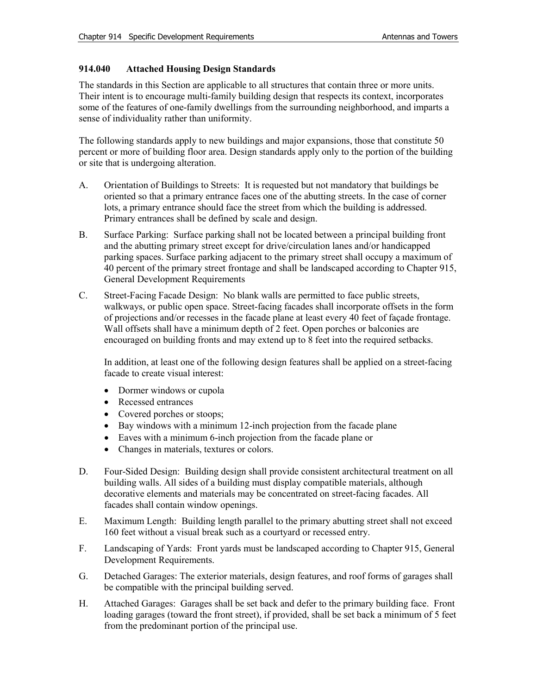# **914.040 Attached Housing Design Standards**

The standards in this Section are applicable to all structures that contain three or more units. Their intent is to encourage multi-family building design that respects its context, incorporates some of the features of one-family dwellings from the surrounding neighborhood, and imparts a sense of individuality rather than uniformity.

The following standards apply to new buildings and major expansions, those that constitute 50 percent or more of building floor area. Design standards apply only to the portion of the building or site that is undergoing alteration.

- A. Orientation of Buildings to Streets: It is requested but not mandatory that buildings be oriented so that a primary entrance faces one of the abutting streets. In the case of corner lots, a primary entrance should face the street from which the building is addressed. Primary entrances shall be defined by scale and design.
- B. Surface Parking: Surface parking shall not be located between a principal building front and the abutting primary street except for drive/circulation lanes and/or handicapped parking spaces. Surface parking adjacent to the primary street shall occupy a maximum of 40 percent of the primary street frontage and shall be landscaped according to Chapter 915, General Development Requirements
- C. Street-Facing Facade Design: No blank walls are permitted to face public streets, walkways, or public open space. Street-facing facades shall incorporate offsets in the form of projections and/or recesses in the facade plane at least every 40 feet of façade frontage. Wall offsets shall have a minimum depth of 2 feet. Open porches or balconies are encouraged on building fronts and may extend up to 8 feet into the required setbacks.

In addition, at least one of the following design features shall be applied on a street-facing facade to create visual interest:

- Dormer windows or cupola
- Recessed entrances
- Covered porches or stoops;
- Bay windows with a minimum 12-inch projection from the facade plane
- Eaves with a minimum 6-inch projection from the facade plane or
- Changes in materials, textures or colors.
- D. Four-Sided Design: Building design shall provide consistent architectural treatment on all building walls. All sides of a building must display compatible materials, although decorative elements and materials may be concentrated on street-facing facades. All facades shall contain window openings.
- E. Maximum Length: Building length parallel to the primary abutting street shall not exceed 160 feet without a visual break such as a courtyard or recessed entry.
- F. Landscaping of Yards: Front yards must be landscaped according to Chapter 915, General Development Requirements.
- G. Detached Garages: The exterior materials, design features, and roof forms of garages shall be compatible with the principal building served.
- H. Attached Garages: Garages shall be set back and defer to the primary building face. Front loading garages (toward the front street), if provided, shall be set back a minimum of 5 feet from the predominant portion of the principal use.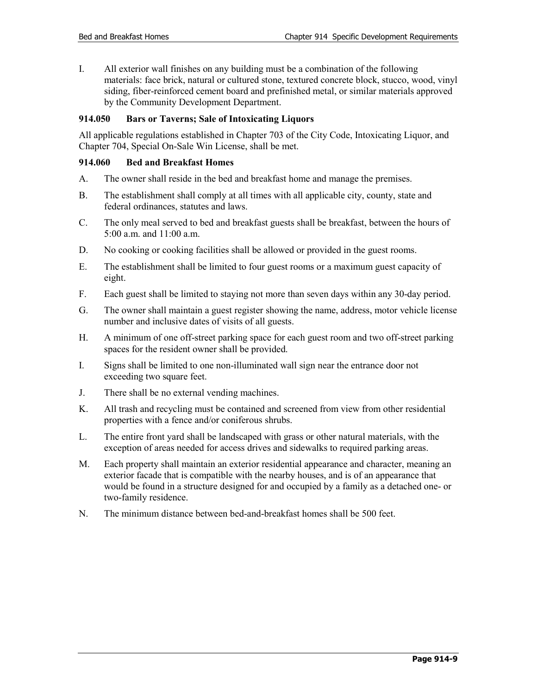I. All exterior wall finishes on any building must be a combination of the following materials: face brick, natural or cultured stone, textured concrete block, stucco, wood, vinyl siding, fiber-reinforced cement board and prefinished metal, or similar materials approved by the Community Development Department.

# **914.050 Bars or Taverns; Sale of Intoxicating Liquors**

All applicable regulations established in Chapter 703 of the City Code, Intoxicating Liquor, and Chapter 704, Special On-Sale Win License, shall be met.

# **914.060 Bed and Breakfast Homes**

- A. The owner shall reside in the bed and breakfast home and manage the premises.
- B. The establishment shall comply at all times with all applicable city, county, state and federal ordinances, statutes and laws.
- C. The only meal served to bed and breakfast guests shall be breakfast, between the hours of 5:00 a.m. and 11:00 a.m.
- D. No cooking or cooking facilities shall be allowed or provided in the guest rooms.
- E. The establishment shall be limited to four guest rooms or a maximum guest capacity of eight.
- F. Each guest shall be limited to staying not more than seven days within any 30-day period.
- G. The owner shall maintain a guest register showing the name, address, motor vehicle license number and inclusive dates of visits of all guests.
- H. A minimum of one off-street parking space for each guest room and two off-street parking spaces for the resident owner shall be provided.
- I. Signs shall be limited to one non-illuminated wall sign near the entrance door not exceeding two square feet.
- J. There shall be no external vending machines.
- K. All trash and recycling must be contained and screened from view from other residential properties with a fence and/or coniferous shrubs.
- L. The entire front yard shall be landscaped with grass or other natural materials, with the exception of areas needed for access drives and sidewalks to required parking areas.
- M. Each property shall maintain an exterior residential appearance and character, meaning an exterior facade that is compatible with the nearby houses, and is of an appearance that would be found in a structure designed for and occupied by a family as a detached one- or two-family residence.
- N. The minimum distance between bed-and-breakfast homes shall be 500 feet.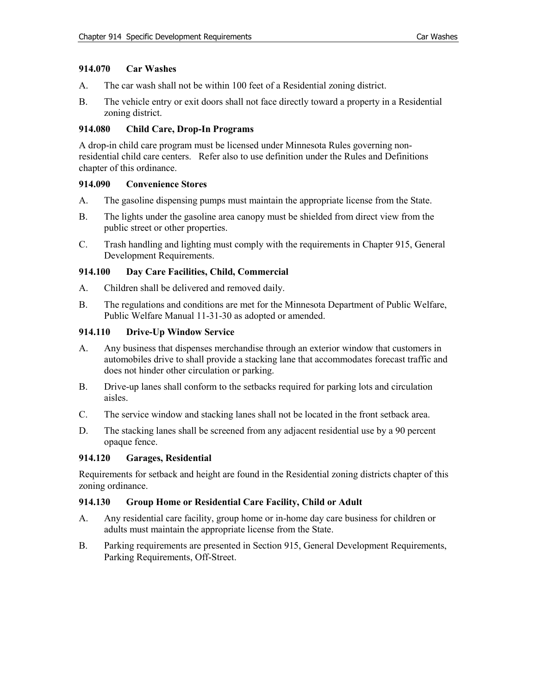# **914.070 Car Washes**

- A. The car wash shall not be within 100 feet of a Residential zoning district.
- B. The vehicle entry or exit doors shall not face directly toward a property in a Residential zoning district.

# **914.080 Child Care, Drop-In Programs**

A drop-in child care program must be licensed under Minnesota Rules governing nonresidential child care centers. Refer also to use definition under the Rules and Definitions chapter of this ordinance.

# **914.090 Convenience Stores**

- A. The gasoline dispensing pumps must maintain the appropriate license from the State.
- B. The lights under the gasoline area canopy must be shielded from direct view from the public street or other properties.
- C. Trash handling and lighting must comply with the requirements in Chapter 915, General Development Requirements.

# **914.100 Day Care Facilities, Child, Commercial**

- A. Children shall be delivered and removed daily.
- B. The regulations and conditions are met for the Minnesota Department of Public Welfare, Public Welfare Manual 11-31-30 as adopted or amended.

# **914.110 Drive-Up Window Service**

- A. Any business that dispenses merchandise through an exterior window that customers in automobiles drive to shall provide a stacking lane that accommodates forecast traffic and does not hinder other circulation or parking.
- B. Drive-up lanes shall conform to the setbacks required for parking lots and circulation aisles.
- C. The service window and stacking lanes shall not be located in the front setback area.
- D. The stacking lanes shall be screened from any adjacent residential use by a 90 percent opaque fence.

# **914.120 Garages, Residential**

Requirements for setback and height are found in the Residential zoning districts chapter of this zoning ordinance.

# **914.130 Group Home or Residential Care Facility, Child or Adult**

- A. Any residential care facility, group home or in-home day care business for children or adults must maintain the appropriate license from the State.
- B. Parking requirements are presented in Section 915, General Development Requirements, Parking Requirements, Off-Street.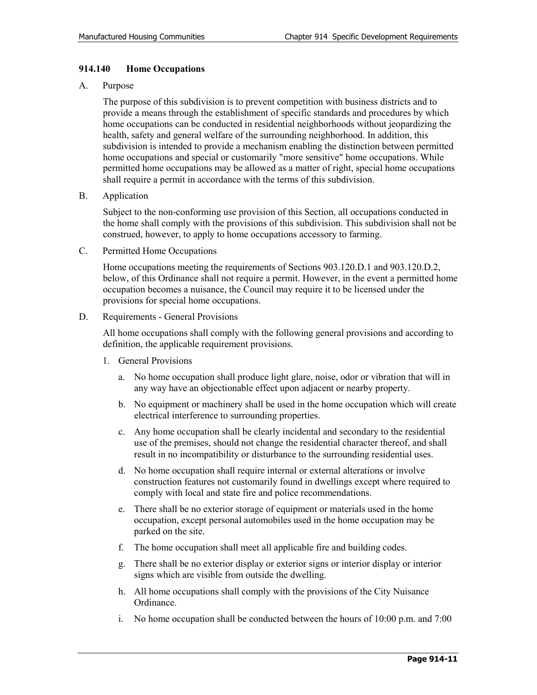# **914.140 Home Occupations**

#### A. Purpose

The purpose of this subdivision is to prevent competition with business districts and to provide a means through the establishment of specific standards and procedures by which home occupations can be conducted in residential neighborhoods without jeopardizing the health, safety and general welfare of the surrounding neighborhood. In addition, this subdivision is intended to provide a mechanism enabling the distinction between permitted home occupations and special or customarily "more sensitive" home occupations. While permitted home occupations may be allowed as a matter of right, special home occupations shall require a permit in accordance with the terms of this subdivision.

B. Application

Subject to the non-conforming use provision of this Section, all occupations conducted in the home shall comply with the provisions of this subdivision. This subdivision shall not be construed, however, to apply to home occupations accessory to farming.

C. Permitted Home Occupations

Home occupations meeting the requirements of Sections 903.120.D.1 and 903.120.D.2, below, of this Ordinance shall not require a permit. However, in the event a permitted home occupation becomes a nuisance, the Council may require it to be licensed under the provisions for special home occupations.

D. Requirements - General Provisions

All home occupations shall comply with the following general provisions and according to definition, the applicable requirement provisions.

- 1. General Provisions
	- a. No home occupation shall produce light glare, noise, odor or vibration that will in any way have an objectionable effect upon adjacent or nearby property.
	- b. No equipment or machinery shall be used in the home occupation which will create electrical interference to surrounding properties.
	- c. Any home occupation shall be clearly incidental and secondary to the residential use of the premises, should not change the residential character thereof, and shall result in no incompatibility or disturbance to the surrounding residential uses.
	- d. No home occupation shall require internal or external alterations or involve construction features not customarily found in dwellings except where required to comply with local and state fire and police recommendations.
	- e. There shall be no exterior storage of equipment or materials used in the home occupation, except personal automobiles used in the home occupation may be parked on the site.
	- f. The home occupation shall meet all applicable fire and building codes.
	- g. There shall be no exterior display or exterior signs or interior display or interior signs which are visible from outside the dwelling.
	- h. All home occupations shall comply with the provisions of the City Nuisance Ordinance.
	- i. No home occupation shall be conducted between the hours of  $10:00$  p.m. and  $7:00$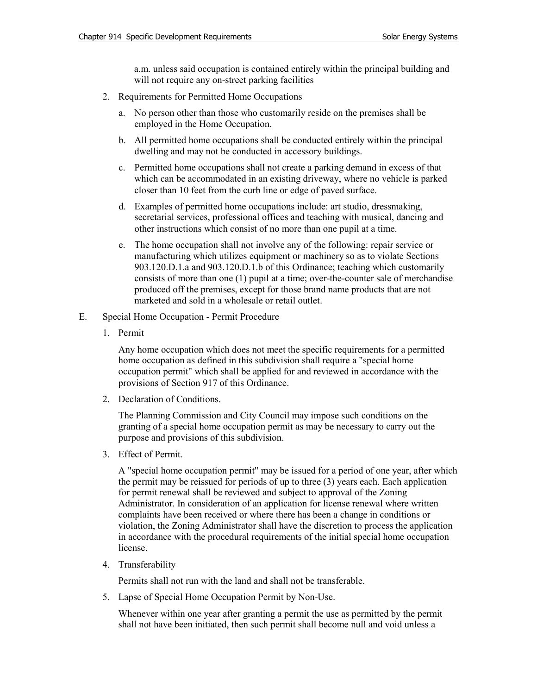a.m. unless said occupation is contained entirely within the principal building and will not require any on-street parking facilities

- 2. Requirements for Permitted Home Occupations
	- a. No person other than those who customarily reside on the premises shall be employed in the Home Occupation.
	- b. All permitted home occupations shall be conducted entirely within the principal dwelling and may not be conducted in accessory buildings.
	- c. Permitted home occupations shall not create a parking demand in excess of that which can be accommodated in an existing driveway, where no vehicle is parked closer than 10 feet from the curb line or edge of paved surface.
	- d. Examples of permitted home occupations include: art studio, dressmaking, secretarial services, professional offices and teaching with musical, dancing and other instructions which consist of no more than one pupil at a time.
	- e. The home occupation shall not involve any of the following: repair service or manufacturing which utilizes equipment or machinery so as to violate Sections 903.120.D.1.a and 903.120.D.1.b of this Ordinance; teaching which customarily consists of more than one (1) pupil at a time; over-the-counter sale of merchandise produced off the premises, except for those brand name products that are not marketed and sold in a wholesale or retail outlet.
- E. Special Home Occupation Permit Procedure
	- 1. Permit

Any home occupation which does not meet the specific requirements for a permitted home occupation as defined in this subdivision shall require a "special home occupation permit" which shall be applied for and reviewed in accordance with the provisions of Section 917 of this Ordinance.

2. Declaration of Conditions.

The Planning Commission and City Council may impose such conditions on the granting of a special home occupation permit as may be necessary to carry out the purpose and provisions of this subdivision.

3. Effect of Permit.

A "special home occupation permit" may be issued for a period of one year, after which the permit may be reissued for periods of up to three (3) years each. Each application for permit renewal shall be reviewed and subject to approval of the Zoning Administrator. In consideration of an application for license renewal where written complaints have been received or where there has been a change in conditions or violation, the Zoning Administrator shall have the discretion to process the application in accordance with the procedural requirements of the initial special home occupation license.

4. Transferability

Permits shall not run with the land and shall not be transferable.

5. Lapse of Special Home Occupation Permit by Non-Use.

Whenever within one year after granting a permit the use as permitted by the permit shall not have been initiated, then such permit shall become null and void unless a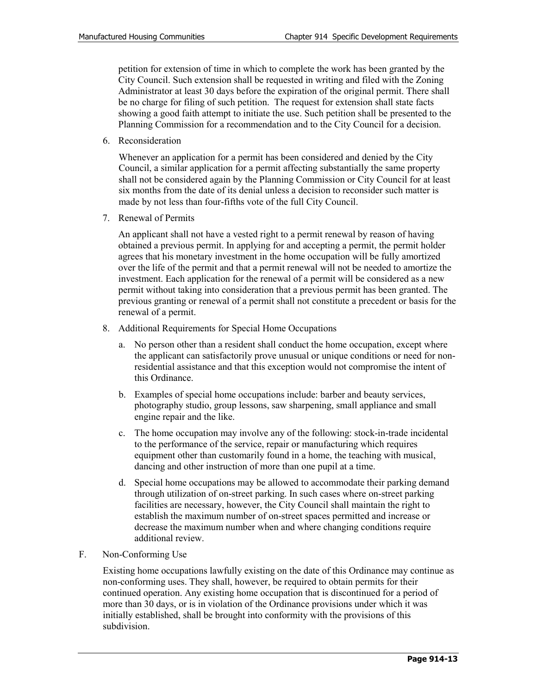petition for extension of time in which to complete the work has been granted by the City Council. Such extension shall be requested in writing and filed with the Zoning Administrator at least 30 days before the expiration of the original permit. There shall be no charge for filing of such petition. The request for extension shall state facts showing a good faith attempt to initiate the use. Such petition shall be presented to the Planning Commission for a recommendation and to the City Council for a decision.

6. Reconsideration

Whenever an application for a permit has been considered and denied by the City Council, a similar application for a permit affecting substantially the same property shall not be considered again by the Planning Commission or City Council for at least six months from the date of its denial unless a decision to reconsider such matter is made by not less than four-fifths vote of the full City Council.

7. Renewal of Permits

An applicant shall not have a vested right to a permit renewal by reason of having obtained a previous permit. In applying for and accepting a permit, the permit holder agrees that his monetary investment in the home occupation will be fully amortized over the life of the permit and that a permit renewal will not be needed to amortize the investment. Each application for the renewal of a permit will be considered as a new permit without taking into consideration that a previous permit has been granted. The previous granting or renewal of a permit shall not constitute a precedent or basis for the renewal of a permit.

- 8. Additional Requirements for Special Home Occupations
	- a. No person other than a resident shall conduct the home occupation, except where the applicant can satisfactorily prove unusual or unique conditions or need for nonresidential assistance and that this exception would not compromise the intent of this Ordinance.
	- b. Examples of special home occupations include: barber and beauty services, photography studio, group lessons, saw sharpening, small appliance and small engine repair and the like.
	- c. The home occupation may involve any of the following: stock-in-trade incidental to the performance of the service, repair or manufacturing which requires equipment other than customarily found in a home, the teaching with musical, dancing and other instruction of more than one pupil at a time.
	- d. Special home occupations may be allowed to accommodate their parking demand through utilization of on-street parking. In such cases where on-street parking facilities are necessary, however, the City Council shall maintain the right to establish the maximum number of on-street spaces permitted and increase or decrease the maximum number when and where changing conditions require additional review.
- F. Non-Conforming Use

Existing home occupations lawfully existing on the date of this Ordinance may continue as non-conforming uses. They shall, however, be required to obtain permits for their continued operation. Any existing home occupation that is discontinued for a period of more than 30 days, or is in violation of the Ordinance provisions under which it was initially established, shall be brought into conformity with the provisions of this subdivision.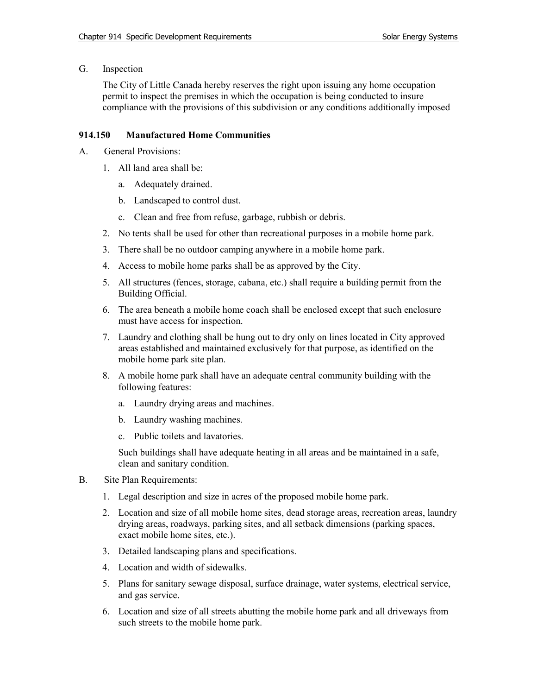G. Inspection

The City of Little Canada hereby reserves the right upon issuing any home occupation permit to inspect the premises in which the occupation is being conducted to insure compliance with the provisions of this subdivision or any conditions additionally imposed

# **914.150 Manufactured Home Communities**

- A. General Provisions:
	- 1. All land area shall be:
		- a. Adequately drained.
		- b. Landscaped to control dust.
		- c. Clean and free from refuse, garbage, rubbish or debris.
	- 2. No tents shall be used for other than recreational purposes in a mobile home park.
	- 3. There shall be no outdoor camping anywhere in a mobile home park.
	- 4. Access to mobile home parks shall be as approved by the City.
	- 5. All structures (fences, storage, cabana, etc.) shall require a building permit from the Building Official.
	- 6. The area beneath a mobile home coach shall be enclosed except that such enclosure must have access for inspection.
	- 7. Laundry and clothing shall be hung out to dry only on lines located in City approved areas established and maintained exclusively for that purpose, as identified on the mobile home park site plan.
	- 8. A mobile home park shall have an adequate central community building with the following features:
		- a. Laundry drying areas and machines.
		- b. Laundry washing machines.
		- c. Public toilets and lavatories.

Such buildings shall have adequate heating in all areas and be maintained in a safe, clean and sanitary condition.

- B. Site Plan Requirements:
	- 1. Legal description and size in acres of the proposed mobile home park.
	- 2. Location and size of all mobile home sites, dead storage areas, recreation areas, laundry drying areas, roadways, parking sites, and all setback dimensions (parking spaces, exact mobile home sites, etc.).
	- 3. Detailed landscaping plans and specifications.
	- 4. Location and width of sidewalks.
	- 5. Plans for sanitary sewage disposal, surface drainage, water systems, electrical service, and gas service.
	- 6. Location and size of all streets abutting the mobile home park and all driveways from such streets to the mobile home park.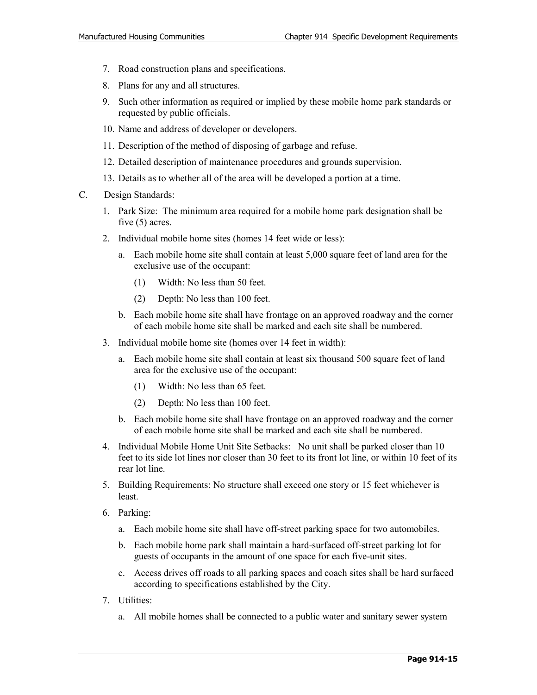- 7. Road construction plans and specifications.
- 8. Plans for any and all structures.
- 9. Such other information as required or implied by these mobile home park standards or requested by public officials.
- 10. Name and address of developer or developers.
- 11. Description of the method of disposing of garbage and refuse.
- 12. Detailed description of maintenance procedures and grounds supervision.
- 13. Details as to whether all of the area will be developed a portion at a time.
- C. Design Standards:
	- 1. Park Size: The minimum area required for a mobile home park designation shall be five (5) acres.
	- 2. Individual mobile home sites (homes 14 feet wide or less):
		- a. Each mobile home site shall contain at least 5,000 square feet of land area for the exclusive use of the occupant:
			- (1) Width: No less than 50 feet.
			- (2) Depth: No less than 100 feet.
		- b. Each mobile home site shall have frontage on an approved roadway and the corner of each mobile home site shall be marked and each site shall be numbered.
	- 3. Individual mobile home site (homes over 14 feet in width):
		- a. Each mobile home site shall contain at least six thousand 500 square feet of land area for the exclusive use of the occupant:
			- (1) Width: No less than 65 feet.
			- (2) Depth: No less than 100 feet.
		- b. Each mobile home site shall have frontage on an approved roadway and the corner of each mobile home site shall be marked and each site shall be numbered.
	- 4. Individual Mobile Home Unit Site Setbacks: No unit shall be parked closer than 10 feet to its side lot lines nor closer than 30 feet to its front lot line, or within 10 feet of its rear lot line.
	- 5. Building Requirements: No structure shall exceed one story or 15 feet whichever is least.
	- 6. Parking:
		- a. Each mobile home site shall have off-street parking space for two automobiles.
		- b. Each mobile home park shall maintain a hard-surfaced off-street parking lot for guests of occupants in the amount of one space for each five-unit sites.
		- c. Access drives off roads to all parking spaces and coach sites shall be hard surfaced according to specifications established by the City.
	- 7. Utilities:
		- a. All mobile homes shall be connected to a public water and sanitary sewer system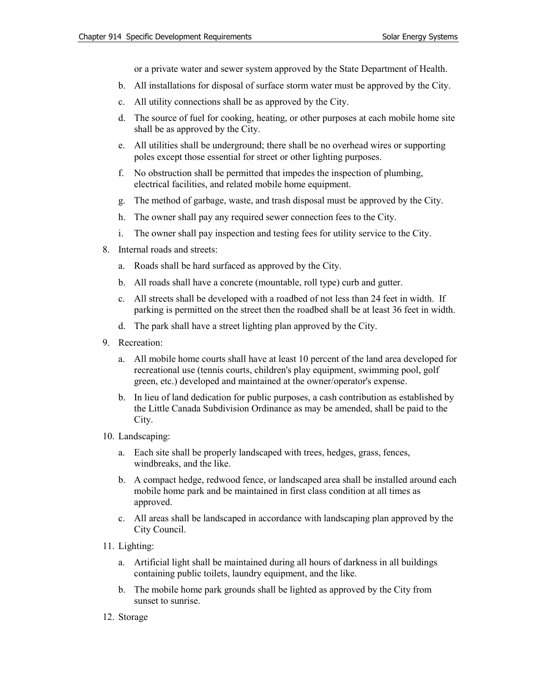or a private water and sewer system approved by the State Department of Health.

- b. All installations for disposal of surface storm water must be approved by the City.
- c. All utility connections shall be as approved by the City.
- d. The source of fuel for cooking, heating, or other purposes at each mobile home site shall be as approved by the City.
- e. All utilities shall be underground; there shall be no overhead wires or supporting poles except those essential for street or other lighting purposes.
- f. No obstruction shall be permitted that impedes the inspection of plumbing, electrical facilities, and related mobile home equipment.
- g. The method of garbage, waste, and trash disposal must be approved by the City.
- h. The owner shall pay any required sewer connection fees to the City.
- i. The owner shall pay inspection and testing fees for utility service to the City.
- 8. Internal roads and streets:
	- a. Roads shall be hard surfaced as approved by the City.
	- b. All roads shall have a concrete (mountable, roll type) curb and gutter.
	- c. All streets shall be developed with a roadbed of not less than 24 feet in width. If parking is permitted on the street then the roadbed shall be at least 36 feet in width.
	- d. The park shall have a street lighting plan approved by the City.
- 9. Recreation:
	- a. All mobile home courts shall have at least 10 percent of the land area developed for recreational use (tennis courts, children's play equipment, swimming pool, golf green, etc.) developed and maintained at the owner/operator's expense.
	- b. In lieu of land dedication for public purposes, a cash contribution as established by the Little Canada Subdivision Ordinance as may be amended, shall be paid to the City.
- 10. Landscaping:
	- a. Each site shall be properly landscaped with trees, hedges, grass, fences, windbreaks, and the like.
	- b. A compact hedge, redwood fence, or landscaped area shall be installed around each mobile home park and be maintained in first class condition at all times as approved.
	- c. All areas shall be landscaped in accordance with landscaping plan approved by the City Council.
- 11. Lighting:
	- a. Artificial light shall be maintained during all hours of darkness in all buildings containing public toilets, laundry equipment, and the like.
	- b. The mobile home park grounds shall be lighted as approved by the City from sunset to sunrise.
- 12. Storage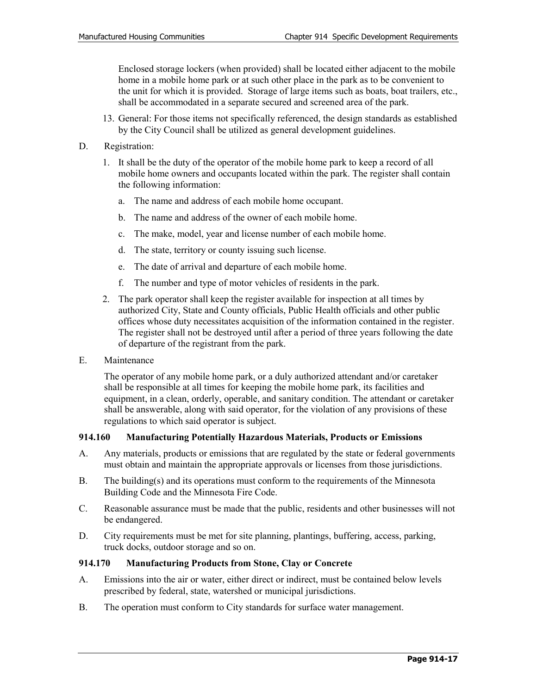Enclosed storage lockers (when provided) shall be located either adjacent to the mobile home in a mobile home park or at such other place in the park as to be convenient to the unit for which it is provided. Storage of large items such as boats, boat trailers, etc., shall be accommodated in a separate secured and screened area of the park.

- 13. General: For those items not specifically referenced, the design standards as established by the City Council shall be utilized as general development guidelines.
- D. Registration:
	- 1. It shall be the duty of the operator of the mobile home park to keep a record of all mobile home owners and occupants located within the park. The register shall contain the following information:
		- a. The name and address of each mobile home occupant.
		- b. The name and address of the owner of each mobile home.
		- c. The make, model, year and license number of each mobile home.
		- d. The state, territory or county issuing such license.
		- e. The date of arrival and departure of each mobile home.
		- f. The number and type of motor vehicles of residents in the park.
	- 2. The park operator shall keep the register available for inspection at all times by authorized City, State and County officials, Public Health officials and other public offices whose duty necessitates acquisition of the information contained in the register. The register shall not be destroyed until after a period of three years following the date of departure of the registrant from the park.
- E. Maintenance

The operator of any mobile home park, or a duly authorized attendant and/or caretaker shall be responsible at all times for keeping the mobile home park, its facilities and equipment, in a clean, orderly, operable, and sanitary condition. The attendant or caretaker shall be answerable, along with said operator, for the violation of any provisions of these regulations to which said operator is subject.

#### **914.160 Manufacturing Potentially Hazardous Materials, Products or Emissions**

- A. Any materials, products or emissions that are regulated by the state or federal governments must obtain and maintain the appropriate approvals or licenses from those jurisdictions.
- B. The building(s) and its operations must conform to the requirements of the Minnesota Building Code and the Minnesota Fire Code.
- C. Reasonable assurance must be made that the public, residents and other businesses will not be endangered.
- D. City requirements must be met for site planning, plantings, buffering, access, parking, truck docks, outdoor storage and so on.

# **914.170 Manufacturing Products from Stone, Clay or Concrete**

- A. Emissions into the air or water, either direct or indirect, must be contained below levels prescribed by federal, state, watershed or municipal jurisdictions.
- B. The operation must conform to City standards for surface water management.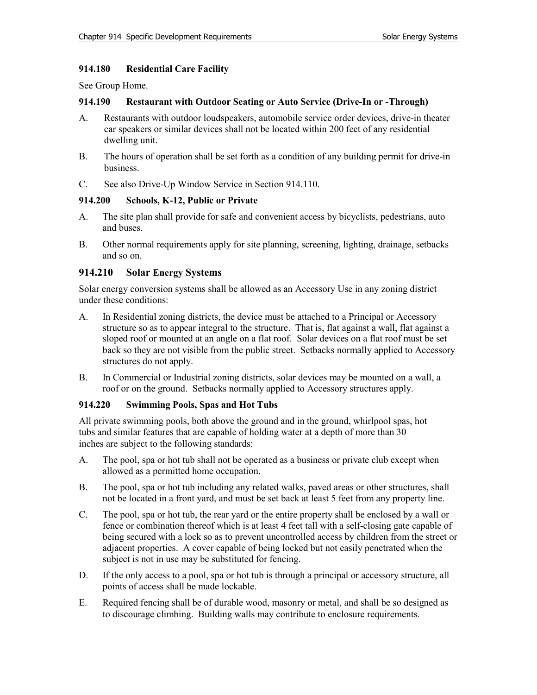# **914.180 Residential Care Facility**

See Group Home.

#### **914.190 Restaurant with Outdoor Seating or Auto Service (Drive-In or -Through)**

- A. Restaurants with outdoor loudspeakers, automobile service order devices, drive-in theater car speakers or similar devices shall not be located within 200 feet of any residential dwelling unit.
- B. The hours of operation shall be set forth as a condition of any building permit for drive-in business.
- C. See also Drive-Up Window Service in Section 914.110.

# **914.200 Schools, K-12, Public or Private**

- A. The site plan shall provide for safe and convenient access by bicyclists, pedestrians, auto and buses.
- B. Other normal requirements apply for site planning, screening, lighting, drainage, setbacks and so on.

# **914.210 Solar Energy Systems**

Solar energy conversion systems shall be allowed as an Accessory Use in any zoning district under these conditions:

- A. In Residential zoning districts, the device must be attached to a Principal or Accessory structure so as to appear integral to the structure. That is, flat against a wall, flat against a sloped roof or mounted at an angle on a flat roof. Solar devices on a flat roof must be set back so they are not visible from the public street. Setbacks normally applied to Accessory structures do not apply.
- B. In Commercial or Industrial zoning districts, solar devices may be mounted on a wall, a roof or on the ground. Setbacks normally applied to Accessory structures apply.

# **914.220 Swimming Pools, Spas and Hot Tubs**

All private swimming pools, both above the ground and in the ground, whirlpool spas, hot tubs and similar features that are capable of holding water at a depth of more than 30 inches are subject to the following standards:

- A. The pool, spa or hot tub shall not be operated as a business or private club except when allowed as a permitted home occupation.
- B. The pool, spa or hot tub including any related walks, paved areas or other structures, shall not be located in a front yard, and must be set back at least 5 feet from any property line.
- C. The pool, spa or hot tub, the rear yard or the entire property shall be enclosed by a wall or fence or combination thereof which is at least 4 feet tall with a self-closing gate capable of being secured with a lock so as to prevent uncontrolled access by children from the street or adjacent properties. A cover capable of being locked but not easily penetrated when the subject is not in use may be substituted for fencing.
- D. If the only access to a pool, spa or hot tub is through a principal or accessory structure, all points of access shall be made lockable.
- E. Required fencing shall be of durable wood, masonry or metal, and shall be so designed as to discourage climbing. Building walls may contribute to enclosure requirements.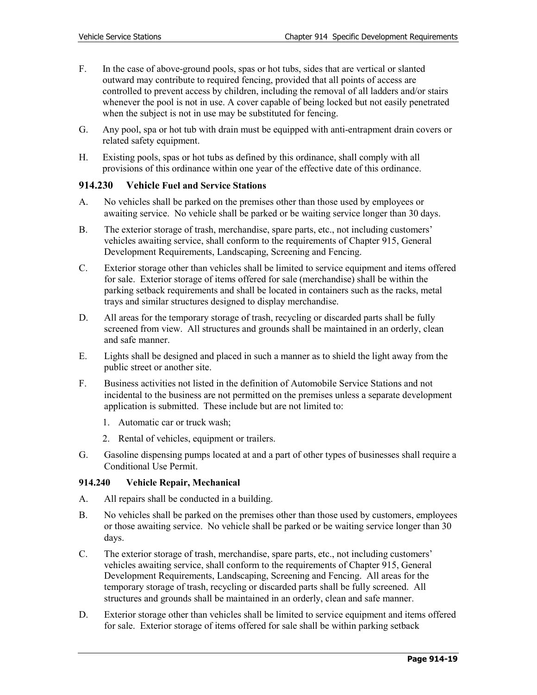- F. In the case of above-ground pools, spas or hot tubs, sides that are vertical or slanted outward may contribute to required fencing, provided that all points of access are controlled to prevent access by children, including the removal of all ladders and/or stairs whenever the pool is not in use. A cover capable of being locked but not easily penetrated when the subject is not in use may be substituted for fencing.
- G. Any pool, spa or hot tub with drain must be equipped with anti-entrapment drain covers or related safety equipment.
- H. Existing pools, spas or hot tubs as defined by this ordinance, shall comply with all provisions of this ordinance within one year of the effective date of this ordinance.

# **914.230 Vehicle Fuel and Service Stations**

- A. No vehicles shall be parked on the premises other than those used by employees or awaiting service. No vehicle shall be parked or be waiting service longer than 30 days.
- B. The exterior storage of trash, merchandise, spare parts, etc., not including customers' vehicles awaiting service, shall conform to the requirements of Chapter 915, General Development Requirements, Landscaping, Screening and Fencing.
- C. Exterior storage other than vehicles shall be limited to service equipment and items offered for sale. Exterior storage of items offered for sale (merchandise) shall be within the parking setback requirements and shall be located in containers such as the racks, metal trays and similar structures designed to display merchandise.
- D. All areas for the temporary storage of trash, recycling or discarded parts shall be fully screened from view. All structures and grounds shall be maintained in an orderly, clean and safe manner.
- E. Lights shall be designed and placed in such a manner as to shield the light away from the public street or another site.
- F. Business activities not listed in the definition of Automobile Service Stations and not incidental to the business are not permitted on the premises unless a separate development application is submitted. These include but are not limited to:
	- 1. Automatic car or truck wash;
	- 2. Rental of vehicles, equipment or trailers.
- G. Gasoline dispensing pumps located at and a part of other types of businesses shall require a Conditional Use Permit.

# **914.240 Vehicle Repair, Mechanical**

- A. All repairs shall be conducted in a building.
- B. No vehicles shall be parked on the premises other than those used by customers, employees or those awaiting service. No vehicle shall be parked or be waiting service longer than 30 days.
- C. The exterior storage of trash, merchandise, spare parts, etc., not including customers' vehicles awaiting service, shall conform to the requirements of Chapter 915, General Development Requirements, Landscaping, Screening and Fencing. All areas for the temporary storage of trash, recycling or discarded parts shall be fully screened. All structures and grounds shall be maintained in an orderly, clean and safe manner.
- D. Exterior storage other than vehicles shall be limited to service equipment and items offered for sale. Exterior storage of items offered for sale shall be within parking setback